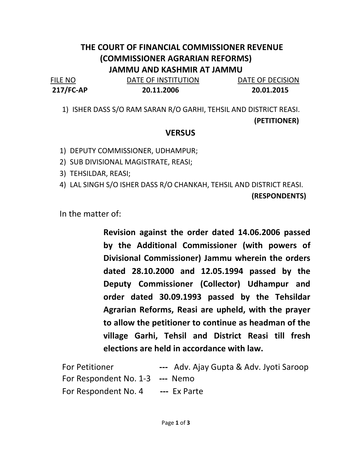## THE COURT OF FINANCIAL COMMISSIONER REVENUE (COMMISSIONER AGRARIAN REFORMS) JAMMU AND KASHMIR AT JAMMU

FILE NO **DATE OF INSTITUTION** DATE OF DECISION 217/FC-AP 20.11.2006 20.01.2015

1) ISHER DASS S/O RAM SARAN R/O GARHI, TEHSIL AND DISTRICT REASI. (PETITIONER)

## **VERSUS**

1) DEPUTY COMMISSIONER, UDHAMPUR;

2) SUB DIVISIONAL MAGISTRATE, REASI;

3) TEHSILDAR, REASI;

4) LAL SINGH S/O ISHER DASS R/O CHANKAH, TEHSIL AND DISTRICT REASI.

(RESPONDENTS)

In the matter of:

Revision against the order dated 14.06.2006 passed by the Additional Commissioner (with powers of Divisional Commissioner) Jammu wherein the orders dated 28.10.2000 and 12.05.1994 passed by the Deputy Commissioner (Collector) Udhampur and order dated 30.09.1993 passed by the Tehsildar Agrarian Reforms, Reasi are upheld, with the prayer to allow the petitioner to continue as headman of the village Garhi, Tehsil and District Reasi till fresh elections are held in accordance with law.

| <b>For Petitioner</b>           | --- Adv. Ajay Gupta & Adv. Jyoti Saroop |
|---------------------------------|-----------------------------------------|
| For Respondent No. 1-3 --- Nemo |                                         |
| For Respondent No. 4            | --- Ex Parte                            |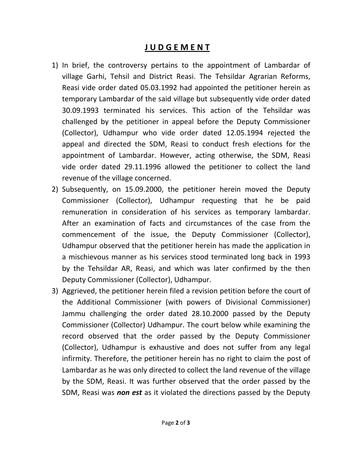## **JUDGEMENT**

- 1) In brief, the controversy pertains to the appointment of Lambardar of village Garhi, Tehsil and District Reasi. The Tehsildar Agrarian Reforms, Reasi vide order dated 05.03.1992 had appointed the petitioner herein as temporary Lambardar of the said village but subsequently vide order dated 30.09.1993 terminated his services. This action of the Tehsildar was challenged by the petitioner in appeal before the Deputy Commissioner (Collector), Udhampur who vide order dated 12.05.1994 rejected the appeal and directed the SDM, Reasi to conduct fresh elections for the appointment of Lambardar. However, acting otherwise, the SDM, Reasi vide order dated 29.11.1996 allowed the petitioner to collect the land revenue of the village concerned.
- 2) Subsequently, on 15.09.2000, the petitioner herein moved the Deputy Commissioner (Collector), Udhampur requesting that he be paid remuneration in consideration of his services as temporary lambardar. After an examination of facts and circumstances of the case from the commencement of the issue, the Deputy Commissioner (Collector), Udhampur observed that the petitioner herein has made the application in a mischievous manner as his services stood terminated long back in 1993 by the Tehsildar AR, Reasi, and which was later confirmed by the then Deputy Commissioner (Collector), Udhampur.
- 3) Aggrieved, the petitioner herein filed a revision petition before the court of the Additional Commissioner (with powers of Divisional Commissioner) Jammu challenging the order dated 28.10.2000 passed by the Deputy Commissioner (Collector) Udhampur. The court below while examining the record observed that the order passed by the Deputy Commissioner (Collector), Udhampur is exhaustive and does not suffer from any legal infirmity. Therefore, the petitioner herein has no right to claim the post of Lambardar as he was only directed to collect the land revenue of the village by the SDM, Reasi. It was further observed that the order passed by the SDM, Reasi was non est as it violated the directions passed by the Deputy